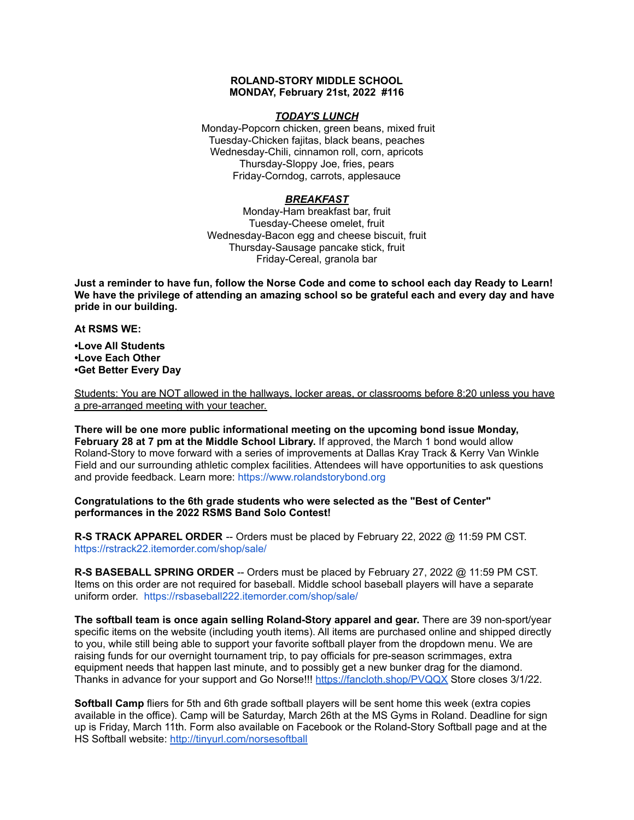## **ROLAND-STORY MIDDLE SCHOOL MONDAY, February 21st, 2022 #116**

## *TODAY'S LUNCH*

Monday-Popcorn chicken, green beans, mixed fruit Tuesday-Chicken fajitas, black beans, peaches Wednesday-Chili, cinnamon roll, corn, apricots Thursday-Sloppy Joe, fries, pears Friday-Corndog, carrots, applesauce

## *BREAKFAST*

Monday-Ham breakfast bar, fruit Tuesday-Cheese omelet, fruit Wednesday-Bacon egg and cheese biscuit, fruit Thursday-Sausage pancake stick, fruit Friday-Cereal, granola bar

Just a reminder to have fun, follow the Norse Code and come to school each day Ready to Learn! **We have the privilege of attending an amazing school so be grateful each and every day and have pride in our building.**

### **At RSMS WE:**

**•Love All Students •Love Each Other •Get Better Every Day**

Students: You are NOT allowed in the hallways, locker areas, or classrooms before 8:20 unless you have a pre-arranged meeting with your teacher.

**There will be one more public informational meeting on the upcoming bond issue Monday, February 28 at 7 pm at the Middle School Library.** If approved, the March 1 bond would allow Roland-Story to move forward with a series of improvements at Dallas Kray Track & Kerry Van Winkle Field and our surrounding athletic complex facilities. Attendees will have opportunities to ask questions and provide feedback. Learn more: [https://www.rolandstorybond.org](https://www.rolandstorybond.org/?fbclid=IwAR3AJHhy8S8KvQsof-Z44UTrIBXDkOZFSdMyUXMovrg0bH3FkvkTprNkFuM)

## **Congratulations to the 6th grade students who were selected as the "Best of Center" performances in the 2022 RSMS Band Solo Contest!**

**R-S TRACK APPAREL ORDER** -- Orders must be placed by February 22, 2022 @ 11:59 PM CST. [https://rstrack22.itemorder.com/shop/sale/](https://rstrack22.itemorder.com/shop/sale/?fbclid=IwAR3_aJcnFS4-T8DvGJgqUhJHdCbzFBykTmoA4KIdedezfx-oH4WsaixvcOw)

**R-S BASEBALL SPRING ORDER** -- Orders must be placed by February 27, 2022 @ 11:59 PM CST. Items on this order are not required for baseball. Middle school baseball players will have a separate uniform order. [https://rsbaseball222.itemorder.com/shop/sale/](https://rsbaseball222.itemorder.com/shop/sale/?fbclid=IwAR3WcViWXzf68ou_l8uvs5OLDLG0OdEOthvolsBQsnAZHaEWjSG5OjbhhEE)

**The softball team is once again selling Roland-Story apparel and gear.** There are 39 non-sport/year specific items on the website (including youth items). All items are purchased online and shipped directly to you, while still being able to support your favorite softball player from the dropdown menu. We are raising funds for our overnight tournament trip, to pay officials for pre-season scrimmages, extra equipment needs that happen last minute, and to possibly get a new bunker drag for the diamond. Thanks in advance for your support and Go Norse!!! <https://fancloth.shop/PVQQX> Store closes 3/1/22.

**Softball Camp** fliers for 5th and 6th grade softball players will be sent home this week (extra copies available in the office). Camp will be Saturday, March 26th at the MS Gyms in Roland. Deadline for sign up is Friday, March 11th. Form also available on Facebook or the Roland-Story Softball page and at the HS Softball website: <http://tinyurl.com/norsesoftball>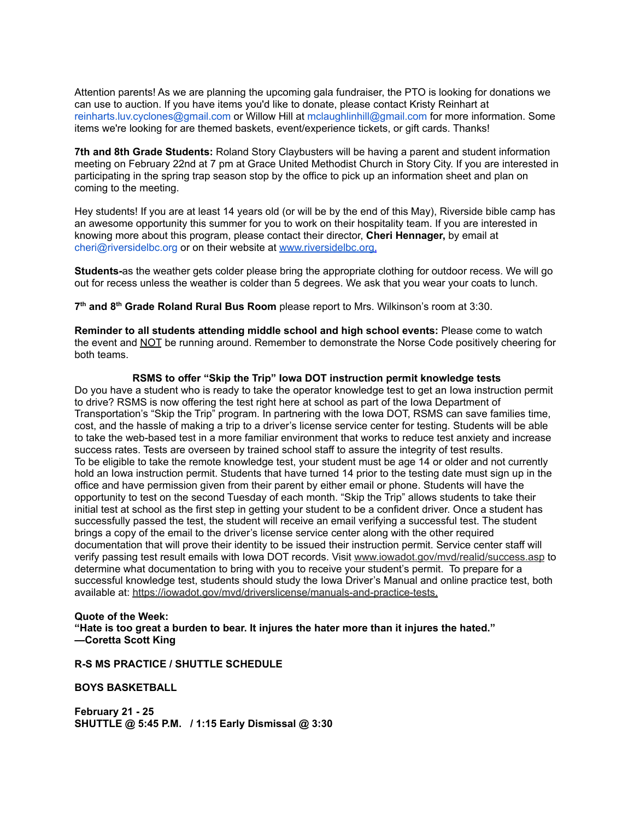Attention parents! As we are planning the upcoming gala fundraiser, the PTO is looking for donations we can use to auction. If you have items you'd like to donate, please contact Kristy Reinhart at reinharts.luv.cyclones@gmail.com or Willow Hill at mclaughlinhill@gmail.com for more information. Some items we're looking for are themed baskets, event/experience tickets, or gift cards. Thanks!

**7th and 8th Grade Students:** Roland Story Claybusters will be having a parent and student information meeting on February 22nd at 7 pm at Grace United Methodist Church in Story City. If you are interested in participating in the spring trap season stop by the office to pick up an information sheet and plan on coming to the meeting.

Hey students! If you are at least 14 years old (or will be by the end of this May), Riverside bible camp has an awesome opportunity this summer for you to work on their hospitality team. If you are interested in knowing more about this program, please contact their director, **Cheri Hennager,** by email at cheri@riversidelbc.org or on their website at [www.riversidelbc.org.](http://www.riversidelbc.org/)

**Students-**as the weather gets colder please bring the appropriate clothing for outdoor recess. We will go out for recess unless the weather is colder than 5 degrees. We ask that you wear your coats to lunch.

**7 th and 8 th Grade Roland Rural Bus Room** please report to Mrs. Wilkinson's room at 3:30.

**Reminder to all students attending middle school and high school events:** Please come to watch the event and NOT be running around. Remember to demonstrate the Norse Code positively cheering for both teams.

### **RSMS to offer "Skip the Trip" Iowa DOT instruction permit knowledge tests**

Do you have a student who is ready to take the operator knowledge test to get an Iowa instruction permit to drive? RSMS is now offering the test right here at school as part of the Iowa Department of Transportation's "Skip the Trip" program. In partnering with the Iowa DOT, RSMS can save families time, cost, and the hassle of making a trip to a driver's license service center for testing. Students will be able to take the web-based test in a more familiar environment that works to reduce test anxiety and increase success rates. Tests are overseen by trained school staff to assure the integrity of test results. To be eligible to take the remote knowledge test, your student must be age 14 or older and not currently hold an Iowa instruction permit. Students that have turned 14 prior to the testing date must sign up in the office and have permission given from their parent by either email or phone. Students will have the opportunity to test on the second Tuesday of each month. "Skip the Trip" allows students to take their initial test at school as the first step in getting your student to be a confident driver. Once a student has successfully passed the test, the student will receive an email verifying a successful test. The student brings a copy of the email to the driver's license service center along with the other required documentation that will prove their identity to be issued their instruction permit. Service center staff will verify passing test result emails with Iowa DOT records. Visit [www.iowadot.gov/mvd/realid/success.asp](http://www.iowadot.gov/mvd/realid/success.asp) to determine what documentation to bring with you to receive your student's permit. To prepare for a successful knowledge test, students should study the Iowa Driver's Manual and online practice test, both available at: <https://iowadot.gov/mvd/driverslicense/manuals-and-practice-tests>.

### **Quote of the Week:**

**"Hate is too great a burden to bear. It injures the hater more than it injures the hated." —Coretta Scott King**

## **R-S MS PRACTICE / SHUTTLE SCHEDULE**

**BOYS BASKETBALL**

**February 21 - 25 SHUTTLE @ 5:45 P.M. / 1:15 Early Dismissal @ 3:30**